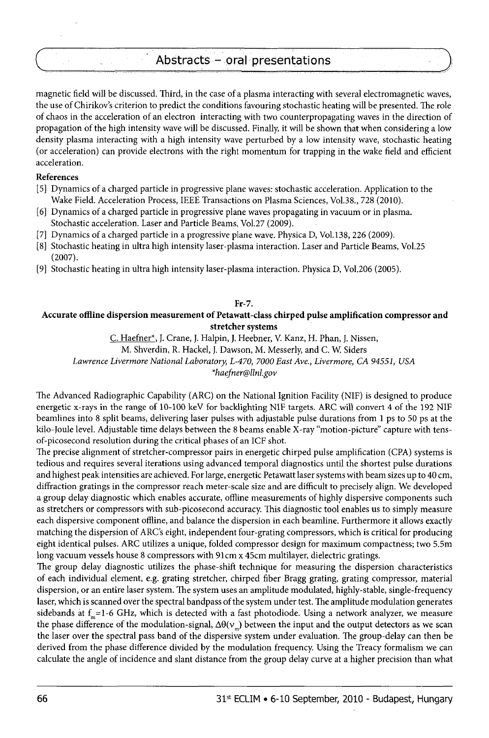# Abstracts - oral presentations

magnetic field will be discussed. Third, in the case of a plasma interacting with several electromagnetic waves, the use of Chirikov's criterion to predict the conditions favouring stochastic heating will be presented. The role of chaos in the acceleration of an electron interacting with two counterpropagating waves in the direction of propagation of the high intensity wave will be discussed. Finally, it will be shown that when considering a low density plasma interacting with a high intensity wave perturbed by a low intensity wave, stochastic heating (or acceleration) can provide electrons with the right momentum for trapping in the wake field and efficient acceleration.

# **References**

- [5] Dynamics of a charged particle in progressive plane waves: stochastic acceleration. Application to the Wake Field. Acceleration Process, IEEE Transactions on Plasma Sciences, Vol.38., 728 (2010).
- [6] Dynamics of a charged particle in progressive plane waves propagating in vacuum or in plasma. Stochastic acceleration. Laser and Particle Beams, Vol.27 (2009).
- [7] Dynamics of a charged particle in a progressive plane wave. Physica D, Vol.138, 226 (2009).
- [8] Stochastic heating in ultra high intensity laser-plasma interaction. Laser and Particle Beams, Vol.25 (2007).
- [9] Stochastic heating in ultra high intensity laser-plasma interaction. Physica D, Vol.206 (2005).

#### **Fr-7.**

### **Accurate offline dispersion measurement of Petawatt-class chirped pulse amplification compressor and stretcher systems**

C. Haefner\*, J. Crane, **J.** Halpin, **J.** Heebner, V. Kanz, H. Phan, J. Nissen,

M. Shverdin, R. Hackel, J. Dawson, M. Messerly, and C. W. Siders

*Lawrence Livermore National Laboratory, L-470, 7000 East Ave., Livermore, CA 94551, USA* 

*\*[haefner@llnl.gov](mailto:haefner@llnl.gov)* 

The Advanced Radiographic Capability (ARC) on the National Ignition Facility (NIF) is designed to produce energetic x-rays in the range of 10-100 keV for backlighting NIF targets. ARC will convert 4 of the 192 NIF beamlines into 8 split beams, delivering laser pulses with adjustable pulse durations from 1 ps to 50 ps at the kilo-Ioule level. Adjustable time delays between the 8 beams enable X-ray "motion-picture" capture with tensof-picosecond resolution during the critical phases of an ICF shot.

The precise alignment of stretcher-compressor pairs in energetic chirped pulse amplification (CPA) systems is tedious and requires several iterations using advanced temporal diagnostics until the shortest pulse durations and highest peak intensities are achieved. For large, energetic Petawatt laser systems with beam sizes up to 40 cm, diffraction gratings in the compressor reach meter-scale size and are difficult to precisely align. We developed a group delay diagnostic which enables accurate, offline measurements of highly dispersive components such as stretchers or compressors with sub-picosecond accuracy. This diagnostic tool enables us to simply measure each dispersive component offline, and balance the dispersion in each beamline. Furthermore it allows exactly matching the dispersion of ARC'S eight, independent four-grating compressors, which is critical for producing eight identical pulses. ARC utilizes a unique, folded compressor design for maximum compactness; two 5.5m long vacuum vessels house 8 compressors with 91cm x 45cm multilayer, dielectric gratings.

The group delay diagnostic utilizes the phase-shift technique for measuring the dispersion characteristics of each individual element, e.g. grating stretcher, chirped fiber Bragg grating, grating compressor, material dispersion, or an entire laser system. The system uses an amplitude modulated, highly-stable, single-frequency laser, which is scanned over the spectral bandpass of the system under test. The amplitude modulation generates sidebands at  $f_n=1-6$  GHz, which is detected with a fast photodiode. Using a network analyzer, we measure the phase difference of the modulation-signal,  $\Delta\theta(v_m)$  between the input and the output detectors as we scan the laser over the spectral pass band of the dispersive system under evaluation. The group-delay can then be derived from the phase difference divided by the modulation frequency. Using the Treacy formalism we can calculate the angle of incidence and slant distance from the group delay curve at a higher precision than what